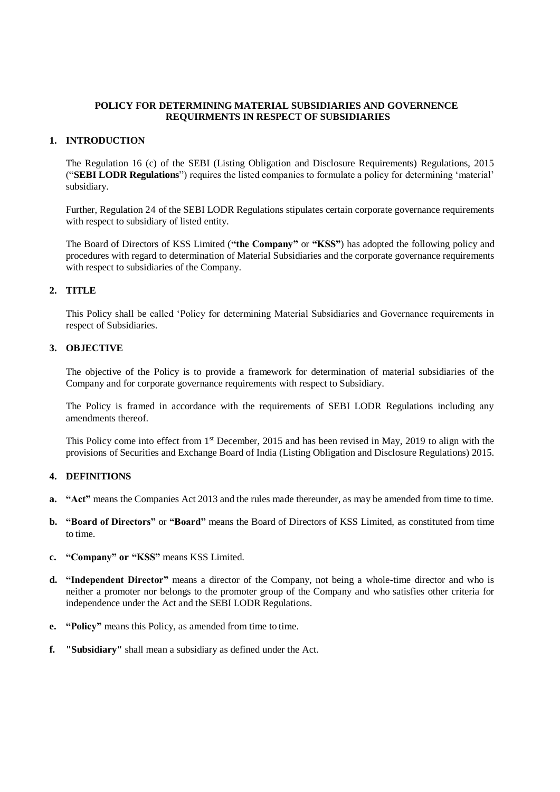### **POLICY FOR DETERMINING MATERIAL SUBSIDIARIES AND GOVERNENCE REQUIRMENTS IN RESPECT OF SUBSIDIARIES**

### **1. INTRODUCTION**

The Regulation 16 (c) of the SEBI (Listing Obligation and Disclosure Requirements) Regulations, 2015 ("**SEBI LODR Regulations**") requires the listed companies to formulate a policy for determining 'material' subsidiary.

Further, Regulation 24 of the SEBI LODR Regulations stipulates certain corporate governance requirements with respect to subsidiary of listed entity.

The Board of Directors of KSS Limited (**"the Company"** or **"KSS"**) has adopted the following policy and procedures with regard to determination of Material Subsidiaries and the corporate governance requirements with respect to subsidiaries of the Company.

## **2. TITLE**

This Policy shall be called 'Policy for determining Material Subsidiaries and Governance requirements in respect of Subsidiaries.

### **3. OBJECTIVE**

The objective of the Policy is to provide a framework for determination of material subsidiaries of the Company and for corporate governance requirements with respect to Subsidiary.

The Policy is framed in accordance with the requirements of SEBI LODR Regulations including any amendments thereof.

This Policy come into effect from 1st December, 2015 and has been revised in May, 2019 to align with the provisions of Securities and Exchange Board of India (Listing Obligation and Disclosure Regulations) 2015.

## **4. DEFINITIONS**

- **a. "Act"** means the Companies Act 2013 and the rules made thereunder, as may be amended from time to time.
- **b. "Board of Directors"** or **"Board"** means the Board of Directors of KSS Limited, as constituted from time to time.
- **c. "Company" or "KSS"** means KSS Limited.
- **d. "Independent Director"** means a director of the Company, not being a whole-time director and who is neither a promoter nor belongs to the promoter group of the Company and who satisfies other criteria for independence under the Act and the SEBI LODR Regulations.
- **e. "Policy"** means this Policy, as amended from time to time.
- **f. "Subsidiary"** shall mean a subsidiary as defined under the Act.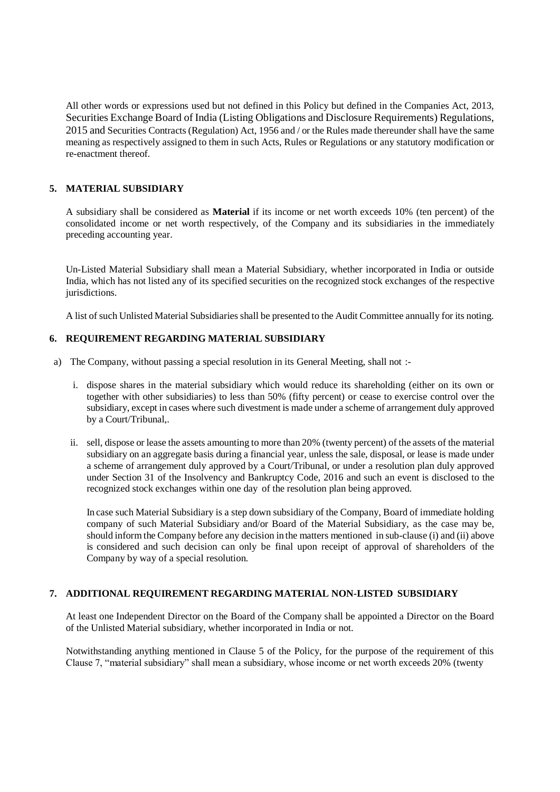All other words or expressions used but not defined in this Policy but defined in the Companies Act, 2013, Securities Exchange Board of India (Listing Obligations and Disclosure Requirements) Regulations, 2015 and Securities Contracts (Regulation) Act, 1956 and / or the Rules made thereunder shall have the same meaning as respectively assigned to them in such Acts, Rules or Regulations or any statutory modification or re-enactment thereof.

# **5. MATERIAL SUBSIDIARY**

A subsidiary shall be considered as **Material** if its income or net worth exceeds 10% (ten percent) of the consolidated income or net worth respectively, of the Company and its subsidiaries in the immediately preceding accounting year.

Un-Listed Material Subsidiary shall mean a Material Subsidiary, whether incorporated in India or outside India, which has not listed any of its specified securities on the recognized stock exchanges of the respective jurisdictions.

A list of such Unlisted Material Subsidiaries shall be presented to the Audit Committee annually for its noting.

## **6. REQUIREMENT REGARDING MATERIAL SUBSIDIARY**

- a) The Company, without passing a special resolution in its General Meeting, shall not :
	- i. dispose shares in the material subsidiary which would reduce its shareholding (either on its own or together with other subsidiaries) to less than 50% (fifty percent) or cease to exercise control over the subsidiary, except in cases where such divestment is made under a scheme of arrangement duly approved by a Court/Tribunal,.
	- ii. sell, dispose or lease the assets amounting to more than 20% (twenty percent) of the assets of the material subsidiary on an aggregate basis during a financial year, unless the sale, disposal, or lease is made under a scheme of arrangement duly approved by a Court/Tribunal, or under a resolution plan duly approved under Section 31 of the Insolvency and Bankruptcy Code, 2016 and such an event is disclosed to the recognized stock exchanges within one day of the resolution plan being approved.

In case such Material Subsidiary is a step down subsidiary of the Company, Board of immediate holding company of such Material Subsidiary and/or Board of the Material Subsidiary, as the case may be, should inform the Company before any decision in the matters mentioned in sub-clause (i) and (ii) above is considered and such decision can only be final upon receipt of approval of shareholders of the Company by way of a special resolution.

## **7. ADDITIONAL REQUIREMENT REGARDING MATERIAL NON-LISTED SUBSIDIARY**

At least one Independent Director on the Board of the Company shall be appointed a Director on the Board of the Unlisted Material subsidiary, whether incorporated in India or not.

Notwithstanding anything mentioned in Clause 5 of the Policy, for the purpose of the requirement of this Clause 7, "material subsidiary" shall mean a subsidiary, whose income or net worth exceeds 20% (twenty